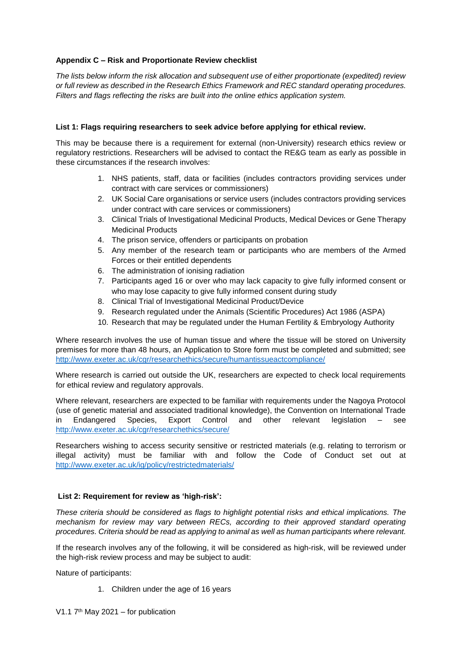# **Appendix C – Risk and Proportionate Review checklist**

*The lists below inform the risk allocation and subsequent use of either proportionate (expedited) review or full review as described in the Research Ethics Framework and REC standard operating procedures. Filters and flags reflecting the risks are built into the online ethics application system.*

## **List 1: Flags requiring researchers to seek advice before applying for ethical review.**

This may be because there is a requirement for external (non-University) research ethics review or regulatory restrictions. Researchers will be advised to contact the RE&G team as early as possible in these circumstances if the research involves:

- 1. NHS patients, staff, data or facilities (includes contractors providing services under contract with care services or commissioners)
- 2. UK Social Care organisations or service users (includes contractors providing services under contract with care services or commissioners)
- 3. Clinical Trials of Investigational Medicinal Products, Medical Devices or Gene Therapy Medicinal Products
- 4. The prison service, offenders or participants on probation
- 5. Any member of the research team or participants who are members of the Armed Forces or their entitled dependents
- 6. The administration of ionising radiation
- 7. Participants aged 16 or over who may lack capacity to give fully informed consent or who may lose capacity to give fully informed consent during study
- 8. Clinical Trial of Investigational Medicinal Product/Device
- 9. Research regulated under the Animals (Scientific Procedures) Act 1986 (ASPA)
- 10. Research that may be regulated under the Human Fertility & Embryology Authority

Where research involves the use of human tissue and where the tissue will be stored on University premises for more than 48 hours, an Application to Store form must be completed and submitted; see <http://www.exeter.ac.uk/cgr/researchethics/secure/humantissueactcompliance/>

Where research is carried out outside the UK, researchers are expected to check local requirements for ethical review and regulatory approvals.

Where relevant, researchers are expected to be familiar with requirements under the Nagoya Protocol (use of genetic material and associated traditional knowledge), the Convention on International Trade in Endangered Species, Export Control and other relevant legislation – see <http://www.exeter.ac.uk/cgr/researchethics/secure/>

Researchers wishing to access security sensitive or restricted materials (e.g. relating to terrorism or illegal activity) must be familiar with and follow the Code of Conduct set out at <http://www.exeter.ac.uk/ig/policy/restrictedmaterials/>

## **List 2: Requirement for review as 'high-risk':**

*These criteria should be considered as flags to highlight potential risks and ethical implications. The mechanism for review may vary between RECs, according to their approved standard operating procedures. Criteria should be read as applying to animal as well as human participants where relevant.*

If the research involves any of the following, it will be considered as high-risk, will be reviewed under the high-risk review process and may be subject to audit:

Nature of participants:

- 1. Children under the age of 16 years
- V1.1  $7<sup>th</sup>$  May 2021 for publication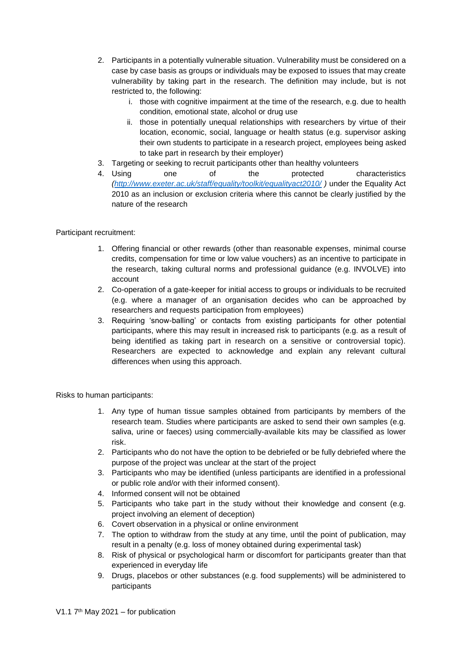- 2. Participants in a potentially vulnerable situation. Vulnerability must be considered on a case by case basis as groups or individuals may be exposed to issues that may create vulnerability by taking part in the research. The definition may include, but is not restricted to, the following:
	- i. those with cognitive impairment at the time of the research, e.g. due to health condition, emotional state, alcohol or drug use
	- ii. those in potentially unequal relationships with researchers by virtue of their location, economic, social, language or health status (e.g. supervisor asking their own students to participate in a research project, employees being asked to take part in research by their employer)
- 3. Targeting or seeking to recruit participants other than healthy volunteers
- 4. Using one of the protected characteristics *[\(http://www.exeter.ac.uk/staff/equality/toolkit/equalityact2010/](http://www.exeter.ac.uk/staff/equality/toolkit/equalityact2010/) )* under the Equality Act 2010 as an inclusion or exclusion criteria where this cannot be clearly justified by the nature of the research

## Participant recruitment:

- 1. Offering financial or other rewards (other than reasonable expenses, minimal course credits, compensation for time or low value vouchers) as an incentive to participate in the research, taking cultural norms and professional guidance (e.g. INVOLVE) into account
- 2. Co-operation of a gate-keeper for initial access to groups or individuals to be recruited (e.g. where a manager of an organisation decides who can be approached by researchers and requests participation from employees)
- 3. Requiring 'snow-balling' or contacts from existing participants for other potential participants, where this may result in increased risk to participants (e.g. as a result of being identified as taking part in research on a sensitive or controversial topic). Researchers are expected to acknowledge and explain any relevant cultural differences when using this approach.

Risks to human participants:

- 1. Any type of human tissue samples obtained from participants by members of the research team. Studies where participants are asked to send their own samples (e.g. saliva, urine or faeces) using commercially-available kits may be classified as lower risk.
- 2. Participants who do not have the option to be debriefed or be fully debriefed where the purpose of the project was unclear at the start of the project
- 3. Participants who may be identified (unless participants are identified in a professional or public role and/or with their informed consent).
- 4. Informed consent will not be obtained
- 5. Participants who take part in the study without their knowledge and consent (e.g. project involving an element of deception)
- 6. Covert observation in a physical or online environment
- 7. The option to withdraw from the study at any time, until the point of publication, may result in a penalty (e.g. loss of money obtained during experimental task)
- 8. Risk of physical or psychological harm or discomfort for participants greater than that experienced in everyday life
- 9. Drugs, placebos or other substances (e.g. food supplements) will be administered to participants